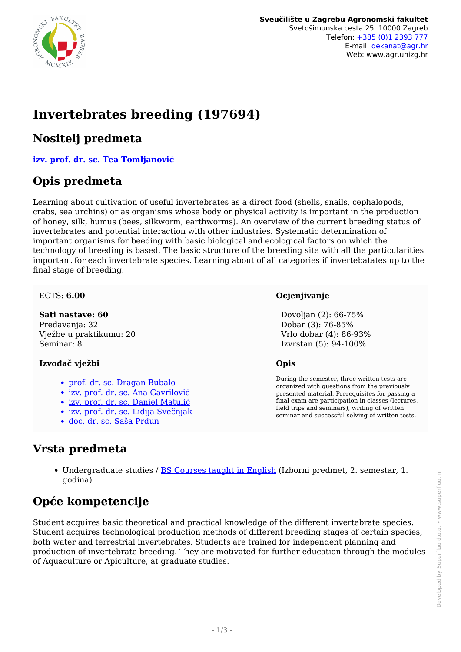

# **Invertebrates breeding (197694)**

### **Nositelj predmeta**

**[izv. prof. dr. sc. Tea Tomljanović](/hr/member/128)**

### **Opis predmeta**

Learning about cultivation of useful invertebrates as a direct food (shells, snails, cephalopods, crabs, sea urchins) or as organisms whose body or physical activity is important in the production of honey, silk, humus (bees, silkworm, earthworms). An overview of the current breeding status of invertebrates and potential interaction with other industries. Systematic determination of important organisms for beeding with basic biological and ecological factors on which the technology of breeding is based. The basic structure of the breeding site with all the particularities important for each invertebrate species. Learning about of all categories if invertebatates up to the final stage of breeding.

#### ECTS: **6.00**

**Sati nastave: 60** Predavanja: 32 Vježbe u praktikumu: 20 Seminar: 8

#### **Izvođač vježbi**

- [prof. dr. sc. Dragan Bubalo](/hr/member/59)
- · [izv. prof. dr. sc. Ana Gavrilović](/hr/member/603)
- [izv. prof. dr. sc. Daniel Matulić](/hr/member/213)
- [izv. prof. dr. sc. Lidija Svečnjak](/hr/member/227)
- [doc. dr. sc. Saša Prđun](/hr/member/222)

#### **Ocjenjivanje**

 Dovoljan (2): 66-75% Dobar (3): 76-85% Vrlo dobar (4): 86-93% Izvrstan (5): 94-100%

#### **Opis**

During the semester, three written tests are organized with questions from the previously presented material. Prerequisites for passing a final exam are participation in classes (lectures, field trips and seminars), writing of written seminar and successful solving of written tests.

### **Vrsta predmeta**

Undergraduate studies / [BS Courses taught in English](/hr/study/en/4/BS+Courses+taught+in+English) (Izborni predmet, 2. semestar, 1. godina)

## **Opće kompetencije**

Student acquires basic theoretical and practical knowledge of the different invertebrate species. Student acquires technological production methods of different breeding stages of certain species, both water and terrestrial invertebrates. Students are trained for independent planning and production of invertebrate breeding. They are motivated for further education through the modules of Aquaculture or Apiculture, at graduate studies.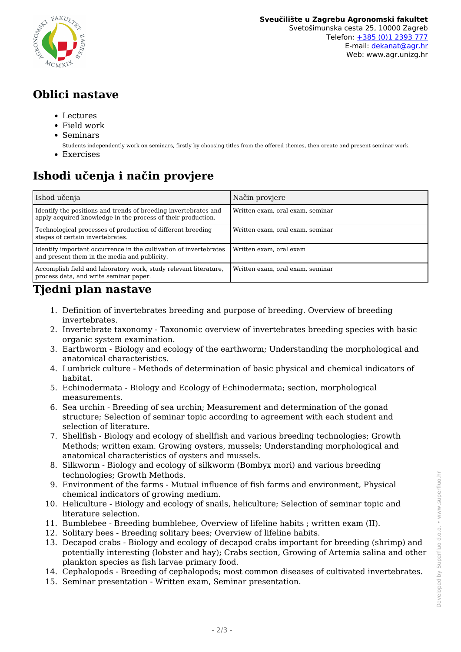

## **Oblici nastave**

- Lectures
- Field work
- Seminars
	- Students independently work on seminars, firstly by choosing titles from the offered themes, then create and present seminar work.
- Exercises

# **Ishodi učenja i način provjere**

| Ishod učenja                                                                                                                    | Način provjere                   |
|---------------------------------------------------------------------------------------------------------------------------------|----------------------------------|
| Identify the positions and trends of breeding invertebrates and<br>apply acquired knowledge in the process of their production. | Written exam, oral exam, seminar |
| Technological processes of production of different breeding<br>stages of certain invertebrates.                                 | Written exam, oral exam, seminar |
| Identify important occurrence in the cultivation of invertebrates<br>and present them in the media and publicity.               | Written exam, oral exam          |
| Accomplish field and laboratory work, study relevant literature,<br>process data, and write seminar paper.                      | Written exam, oral exam, seminar |

### **Tjedni plan nastave**

- 1. Definition of invertebrates breeding and purpose of breeding. Overview of breeding invertebrates.
- 2. Invertebrate taxonomy Taxonomic overview of invertebrates breeding species with basic organic system examination.
- 3. Earthworm Biology and ecology of the earthworm; Understanding the morphological and anatomical characteristics.
- 4. Lumbrick culture Methods of determination of basic physical and chemical indicators of habitat.
- 5. Echinodermata Biology and Ecology of Echinodermata; section, morphological measurements.
- 6. Sea urchin Breeding of sea urchin; Measurement and determination of the gonad structure; Selection of seminar topic according to agreement with each student and selection of literature.
- 7. Shellfish Biology and ecology of shellfish and various breeding technologies; Growth Methods; written exam. Growing oysters, mussels; Understanding morphological and anatomical characteristics of oysters and mussels.
- 8. Silkworm Biology and ecology of silkworm (Bombyx mori) and various breeding technologies; Growth Methods.
- 9. Environment of the farms Mutual influence of fish farms and environment, Physical chemical indicators of growing medium.
- 10. Heliculture Biology and ecology of snails, heliculture; Selection of seminar topic and literature selection.
- 11. Bumblebee Breeding bumblebee, Overview of lifeline habits ; written exam (II).
- 12. Solitary bees Breeding solitary bees; Overview of lifeline habits.
- 13. Decapod crabs Biology and ecology of decapod crabs important for breeding (shrimp) and potentially interesting (lobster and hay); Crabs section, Growing of Artemia salina and other plankton species as fish larvae primary food.
- 14. Cephalopods Breeding of cephalopods; most common diseases of cultivated invertebrates.
- 15. Seminar presentation Written exam, Seminar presentation.